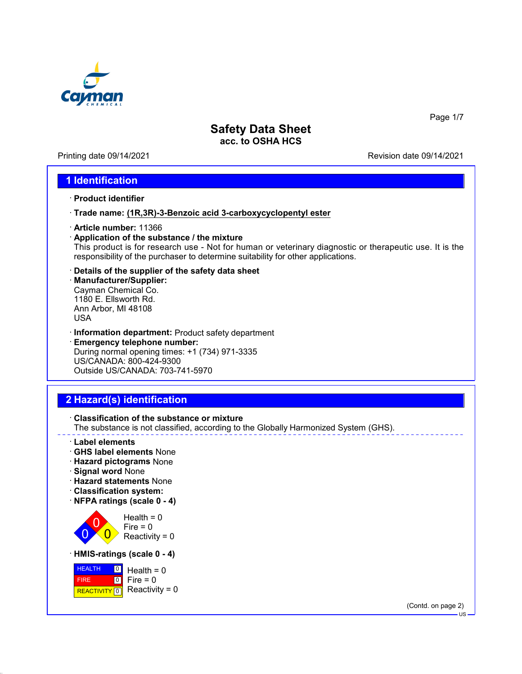

Printing date 09/14/2021 Revision date 09/14/2021

Page 1/7

#### **1 Identification**

- · **Product identifier**
- · **Trade name: (1R,3R)-3-Benzoic acid 3-carboxycyclopentyl ester**
- · **Article number:** 11366
- · **Application of the substance / the mixture** This product is for research use - Not for human or veterinary diagnostic or therapeutic use. It is the responsibility of the purchaser to determine suitability for other applications.
- · **Details of the supplier of the safety data sheet** · **Manufacturer/Supplier:** Cayman Chemical Co. 1180 E. Ellsworth Rd. Ann Arbor, MI 48108 USA
- · **Information department:** Product safety department
- · **Emergency telephone number:** During normal opening times: +1 (734) 971-3335 US/CANADA: 800-424-9300 Outside US/CANADA: 703-741-5970

## **2 Hazard(s) identification**



- · **Label elements**
- · **GHS label elements** None
- · **Hazard pictograms** None
- · **Signal word** None
- · **Hazard statements** None
- · **Classification system:**
- · **NFPA ratings (scale 0 4)**





(Contd. on page 2)

US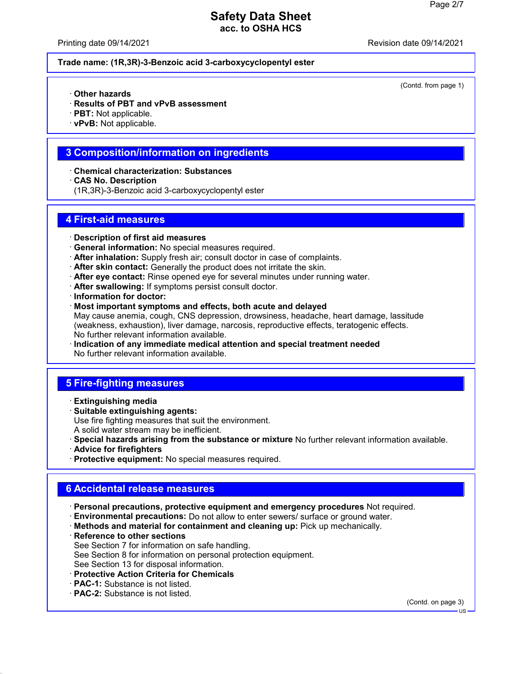Printing date 09/14/2021 Revision date 09/14/2021

(Contd. from page 1)

#### **Trade name: (1R,3R)-3-Benzoic acid 3-carboxycyclopentyl ester**

- · **Other hazards**
- · **Results of PBT and vPvB assessment**
- · **PBT:** Not applicable.
- · **vPvB:** Not applicable.

#### **3 Composition/information on ingredients**

- · **Chemical characterization: Substances**
- · **CAS No. Description**
- (1R,3R)-3-Benzoic acid 3-carboxycyclopentyl ester

#### **4 First-aid measures**

- · **Description of first aid measures**
- · **General information:** No special measures required.
- · **After inhalation:** Supply fresh air; consult doctor in case of complaints.
- · **After skin contact:** Generally the product does not irritate the skin.
- · **After eye contact:** Rinse opened eye for several minutes under running water.
- · **After swallowing:** If symptoms persist consult doctor.
- · **Information for doctor:**
- · **Most important symptoms and effects, both acute and delayed** May cause anemia, cough, CNS depression, drowsiness, headache, heart damage, lassitude (weakness, exhaustion), liver damage, narcosis, reproductive effects, teratogenic effects. No further relevant information available.
- · **Indication of any immediate medical attention and special treatment needed** No further relevant information available.

### **5 Fire-fighting measures**

- · **Extinguishing media**
- · **Suitable extinguishing agents:** Use fire fighting measures that suit the environment. A solid water stream may be inefficient.
- · **Special hazards arising from the substance or mixture** No further relevant information available.
- · **Advice for firefighters**
- · **Protective equipment:** No special measures required.

## **6 Accidental release measures**

- · **Personal precautions, protective equipment and emergency procedures** Not required.
- · **Environmental precautions:** Do not allow to enter sewers/ surface or ground water.
- · **Methods and material for containment and cleaning up:** Pick up mechanically.
- · **Reference to other sections** See Section 7 for information on safe handling. See Section 8 for information on personal protection equipment. See Section 13 for disposal information.
- · **Protective Action Criteria for Chemicals**
- · **PAC-1:** Substance is not listed.
- · **PAC-2:** Substance is not listed.

(Contd. on page 3)

US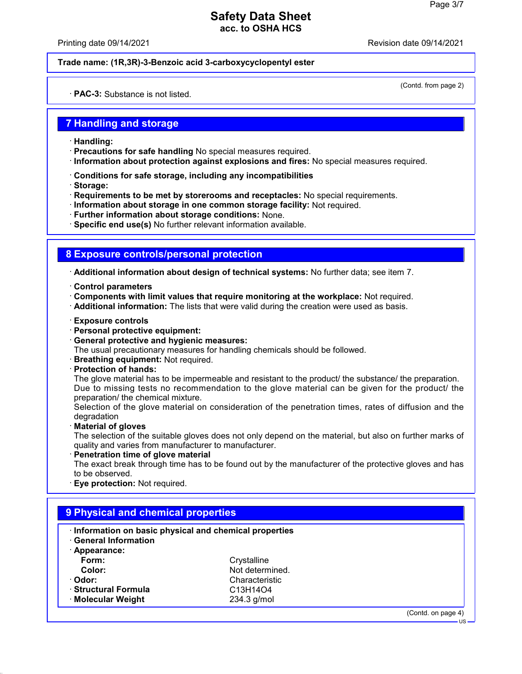Printing date 09/14/2021 Revision date 09/14/2021

#### **Trade name: (1R,3R)-3-Benzoic acid 3-carboxycyclopentyl ester**

(Contd. from page 2)

#### · **PAC-3:** Substance is not listed.

#### **7 Handling and storage**

- · **Handling:**
- · **Precautions for safe handling** No special measures required.
- · **Information about protection against explosions and fires:** No special measures required.
- · **Conditions for safe storage, including any incompatibilities**
- · **Storage:**
- · **Requirements to be met by storerooms and receptacles:** No special requirements.
- · **Information about storage in one common storage facility:** Not required.
- · **Further information about storage conditions:** None.
- · **Specific end use(s)** No further relevant information available.

#### **8 Exposure controls/personal protection**

· **Additional information about design of technical systems:** No further data; see item 7.

- · **Control parameters**
- · **Components with limit values that require monitoring at the workplace:** Not required.
- · **Additional information:** The lists that were valid during the creation were used as basis.
- · **Exposure controls**
- · **Personal protective equipment:**
- · **General protective and hygienic measures:**
- The usual precautionary measures for handling chemicals should be followed.
- · **Breathing equipment:** Not required.
- · **Protection of hands:**

The glove material has to be impermeable and resistant to the product/ the substance/ the preparation. Due to missing tests no recommendation to the glove material can be given for the product/ the preparation/ the chemical mixture.

Selection of the glove material on consideration of the penetration times, rates of diffusion and the degradation

· **Material of gloves**

The selection of the suitable gloves does not only depend on the material, but also on further marks of quality and varies from manufacturer to manufacturer.

· **Penetration time of glove material**

The exact break through time has to be found out by the manufacturer of the protective gloves and has to be observed.

· **Eye protection:** Not required.

| Information on basic physical and chemical properties<br><b>General Information</b> |                 |  |  |
|-------------------------------------------------------------------------------------|-----------------|--|--|
| · Appearance:                                                                       |                 |  |  |
| Form:                                                                               | Crystalline     |  |  |
| Color:                                                                              | Not determined. |  |  |
| · Odor:                                                                             | Characteristic  |  |  |
| · Structural Formula                                                                | C13H14O4        |  |  |
| · Molecular Weight                                                                  | 234.3 g/mol     |  |  |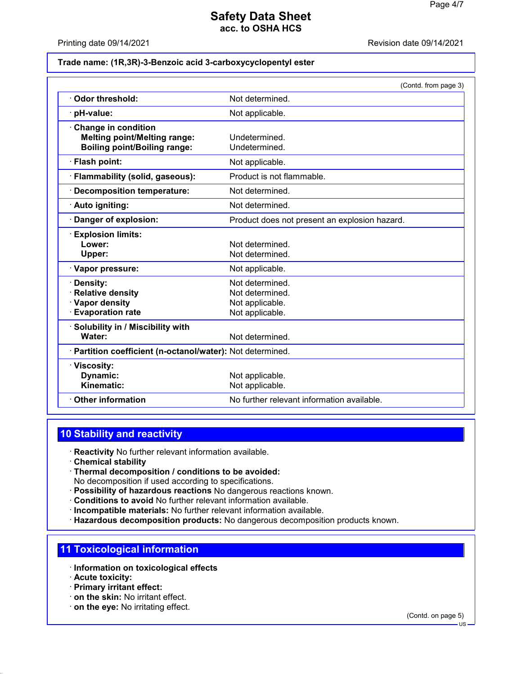Printing date 09/14/2021 Revision date 09/14/2021

#### **Trade name: (1R,3R)-3-Benzoic acid 3-carboxycyclopentyl ester**

|                                                                                                          | (Contd. from page 3)                                                     |
|----------------------------------------------------------------------------------------------------------|--------------------------------------------------------------------------|
| Odor threshold:                                                                                          | Not determined.                                                          |
| pH-value:                                                                                                | Not applicable.                                                          |
| <b>Change in condition</b><br><b>Melting point/Melting range:</b><br><b>Boiling point/Boiling range:</b> | Undetermined.<br>Undetermined.                                           |
| · Flash point:                                                                                           | Not applicable.                                                          |
| Flammability (solid, gaseous):                                                                           | Product is not flammable.                                                |
| <b>Decomposition temperature:</b>                                                                        | Not determined.                                                          |
| · Auto igniting:                                                                                         | Not determined.                                                          |
| Danger of explosion:                                                                                     | Product does not present an explosion hazard.                            |
| <b>Explosion limits:</b><br>Lower:<br>Upper:                                                             | Not determined.<br>Not determined.                                       |
| · Vapor pressure:                                                                                        | Not applicable.                                                          |
| Density:<br><b>Relative density</b><br>· Vapor density<br><b>Evaporation rate</b>                        | Not determined.<br>Not determined.<br>Not applicable.<br>Not applicable. |
| Solubility in / Miscibility with<br>Water:                                                               | Not determined.                                                          |
| Partition coefficient (n-octanol/water): Not determined.                                                 |                                                                          |
| · Viscosity:<br>Dynamic:<br>Kinematic:                                                                   | Not applicable.<br>Not applicable.                                       |
| <b>Other information</b>                                                                                 | No further relevant information available.                               |

## **10 Stability and reactivity**

· **Reactivity** No further relevant information available.

- · **Chemical stability**
- · **Thermal decomposition / conditions to be avoided:** No decomposition if used according to specifications.
- · **Possibility of hazardous reactions** No dangerous reactions known.
- · **Conditions to avoid** No further relevant information available.
- · **Incompatible materials:** No further relevant information available.
- · **Hazardous decomposition products:** No dangerous decomposition products known.

#### **11 Toxicological information**

- · **Information on toxicological effects**
- · **Acute toxicity:**
- · **Primary irritant effect:**
- · **on the skin:** No irritant effect.
- · **on the eye:** No irritating effect.

(Contd. on page 5)

US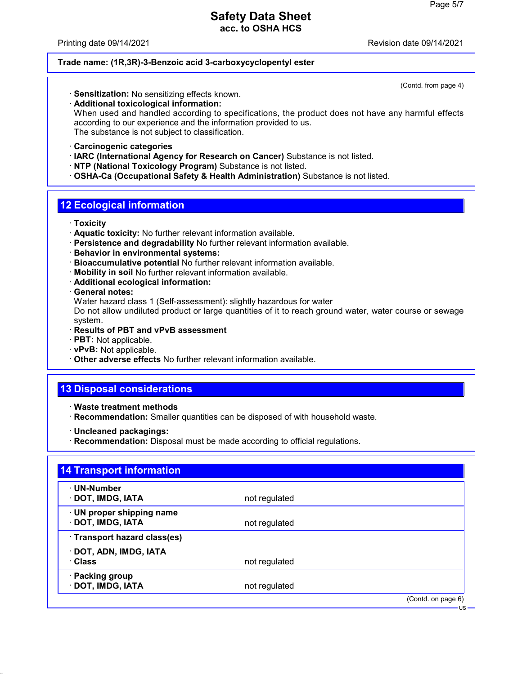Printing date 09/14/2021 Revision date 09/14/2021

#### **Trade name: (1R,3R)-3-Benzoic acid 3-carboxycyclopentyl ester**

(Contd. from page 4)

· **Sensitization:** No sensitizing effects known. · **Additional toxicological information:** When used and handled according to specifications, the product does not have any harmful effects according to our experience and the information provided to us.

The substance is not subject to classification.

- · **Carcinogenic categories**
- · **IARC (International Agency for Research on Cancer)** Substance is not listed.
- · **NTP (National Toxicology Program)** Substance is not listed.
- · **OSHA-Ca (Occupational Safety & Health Administration)** Substance is not listed.

## **12 Ecological information**

- · **Toxicity**
- · **Aquatic toxicity:** No further relevant information available.
- · **Persistence and degradability** No further relevant information available.
- · **Behavior in environmental systems:**
- · **Bioaccumulative potential** No further relevant information available.
- · **Mobility in soil** No further relevant information available.
- · **Additional ecological information:**
- · **General notes:**

Water hazard class 1 (Self-assessment): slightly hazardous for water

Do not allow undiluted product or large quantities of it to reach ground water, water course or sewage system.

- · **Results of PBT and vPvB assessment**
- · **PBT:** Not applicable.
- · **vPvB:** Not applicable.
- · **Other adverse effects** No further relevant information available.

# **13 Disposal considerations**

- · **Waste treatment methods**
- · **Recommendation:** Smaller quantities can be disposed of with household waste.
- · **Uncleaned packagings:**
- · **Recommendation:** Disposal must be made according to official regulations.

| ⋅ UN-Number                  |               |  |
|------------------------------|---------------|--|
| · DOT, IMDG, IATA            | not regulated |  |
| · UN proper shipping name    |               |  |
| · DOT, IMDG, IATA            | not regulated |  |
| · Transport hazard class(es) |               |  |
| · DOT, ADN, IMDG, IATA       |               |  |
| · Class                      | not regulated |  |
| · Packing group              |               |  |
| · DOT, IMDG, IATA            | not regulated |  |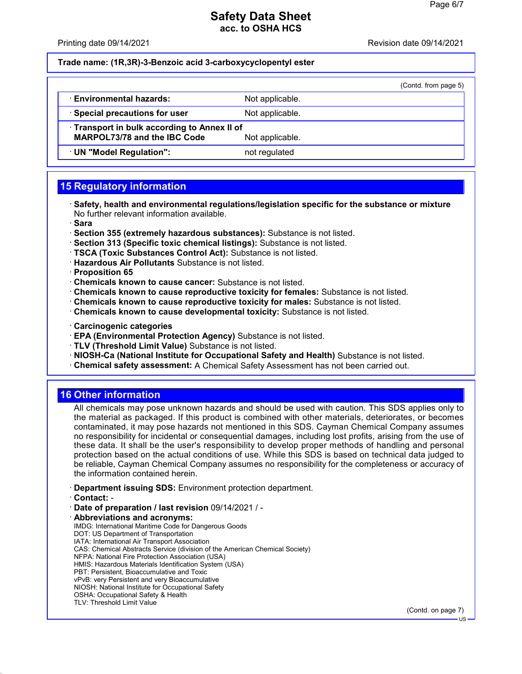Printing date 09/14/2021 Revision date 09/14/2021

#### **Trade name: (1R,3R)-3-Benzoic acid 3-carboxycyclopentyl ester**

|                                              |                 | (Contd. from page 5) |  |
|----------------------------------------------|-----------------|----------------------|--|
| · Environmental hazards:                     | Not applicable. |                      |  |
| · Special precautions for user               | Not applicable. |                      |  |
| · Transport in bulk according to Annex II of |                 |                      |  |
| <b>MARPOL73/78 and the IBC Code</b>          | Not applicable. |                      |  |
| · UN "Model Regulation":                     | not regulated   |                      |  |
|                                              |                 |                      |  |

# **15 Regulatory information**

- · **Safety, health and environmental regulations/legislation specific for the substance or mixture** No further relevant information available.
- · **Sara**
- · **Section 355 (extremely hazardous substances):** Substance is not listed.
- · **Section 313 (Specific toxic chemical listings):** Substance is not listed.
- · **TSCA (Toxic Substances Control Act):** Substance is not listed.
- · **Hazardous Air Pollutants** Substance is not listed.
- · **Proposition 65**
- · **Chemicals known to cause cancer:** Substance is not listed.
- · **Chemicals known to cause reproductive toxicity for females:** Substance is not listed.
- · **Chemicals known to cause reproductive toxicity for males:** Substance is not listed.
- · **Chemicals known to cause developmental toxicity:** Substance is not listed.
- · **Carcinogenic categories**
- · **EPA (Environmental Protection Agency)** Substance is not listed.
- · **TLV (Threshold Limit Value)** Substance is not listed.
- · **NIOSH-Ca (National Institute for Occupational Safety and Health)** Substance is not listed.
- · **Chemical safety assessment:** A Chemical Safety Assessment has not been carried out.

### **16 Other information**

All chemicals may pose unknown hazards and should be used with caution. This SDS applies only to the material as packaged. If this product is combined with other materials, deteriorates, or becomes contaminated, it may pose hazards not mentioned in this SDS. Cayman Chemical Company assumes no responsibility for incidental or consequential damages, including lost profits, arising from the use of these data. It shall be the user's responsibility to develop proper methods of handling and personal protection based on the actual conditions of use. While this SDS is based on technical data judged to be reliable, Cayman Chemical Company assumes no responsibility for the completeness or accuracy of the information contained herein.

- · **Department issuing SDS:** Environment protection department.
- · **Contact:** -
- · **Date of preparation / last revision** 09/14/2021 / -
- · **Abbreviations and acronyms:** IMDG: International Maritime Code for Dangerous Goods DOT: US Department of Transportation IATA: International Air Transport Association CAS: Chemical Abstracts Service (division of the American Chemical Society) NFPA: National Fire Protection Association (USA) HMIS: Hazardous Materials Identification System (USA) PBT: Persistent, Bioaccumulative and Toxic vPvB: very Persistent and very Bioaccumulative NIOSH: National Institute for Occupational Safety OSHA: Occupational Safety & Health TLV: Threshold Limit Value

(Contd. on page 7)

US